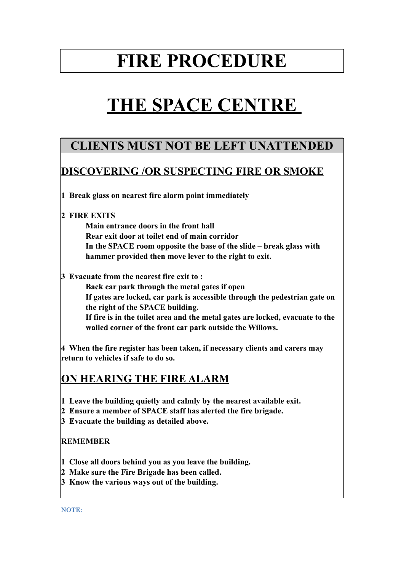## **FIRE PROCEDURE**

# **THE SPACE CENTRE**

## **CLIENTS MUST NOT BE LEFT UNATTENDED**

### **DISCOVERING /OR SUSPECTING FIRE OR SMOKE**

**1 Break glass on nearest fire alarm point immediately**

#### **2 FIRE EXITS**

 **Main entrance doors in the front hall Rear exit door at toilet end of main corridor In the SPACE room opposite the base of the slide – break glass with hammer provided then move lever to the right to exit.**

**3 Evacuate from the nearest fire exit to :**

 **Back car park through the metal gates if open If gates are locked, car park is accessible through the pedestrian gate on the right of the SPACE building. If fire is in the toilet area and the metal gates are locked, evacuate to the walled corner of the front car park outside the Willows.**

**4 When the fire register has been taken, if necessary clients and carers may return to vehicles if safe to do so.**

### **ON HEARING THE FIRE ALARM**

- **1 Leave the building quietly and calmly by the nearest available exit.**
- **2 Ensure a member of SPACE staff has alerted the fire brigade.**
- **3 Evacuate the building as detailed above.**

#### **REMEMBER**

- **1 Close all doors behind you as you leave the building.**
- **2 Make sure the Fire Brigade has been called.**
- **3 Know the various ways out of the building.**

**NOTE:**